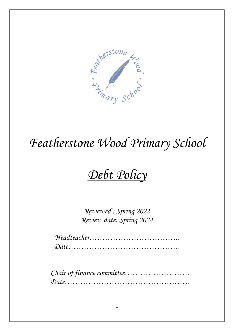

## *Debt Policy*

*Reviewed : Spring 2022 Review date: Spring 2024*

*Headteacher…………………………….. Date…………………………………….*

*Chair of finance committee……………………. Date…………………………………………*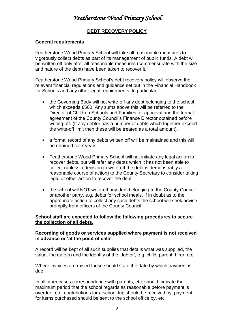#### **DEBT RECOVERY POLICY**

#### **General requirements**

Featherstone Wood Primary School will take all reasonable measures to vigorously collect debts as part of its management of public funds. A debt will be written off only after all reasonable measures (commensurate with the size and nature of the debt) have been taken to recover it.

Featherstone Wood Primary School's debt recovery policy will observe the relevant financial regulations and guidance set out in the Financial Handbook for Schools and any other legal requirements. In particular:

- the Governing Body will not write-off any debt belonging to the school which exceeds £500. Any sums above this will be referred to the Director of Children Schools and Families for approval and the formal agreement of the County Council's Finance Director obtained before writing-off. (If any debtor has a number of debts which together exceed the write-off limit then these will be treated as a total amount).
- a formal record of any debts written off will be maintained and this will be retained for 7 years
- Featherstone Wood Primary School will not initiate any legal action to recover debts, but will refer any debts which it has not been able to collect (unless a decision to write-off the debt is demonstrably a reasonable course of action) to the County Secretary to consider taking legal or other action to recover the debt.
- the school will NOT write-off any debt belonging to the County Council or another party, e.g. debts for school meals. If in doubt as to the appropriate action to collect any such debts the school will seek advice promptly from officers of the County Council.

#### **School staff are expected to follow the following procedures to secure the collection of all debts.**

#### **Recording of goods or services supplied where payment is not received in advance or 'at the point of sale'.**

A record will be kept of all such supplies that details what was supplied, the value, the date(s) and the identity of the 'debtor', e.g. child, parent, hirer, etc.

Where invoices are raised these should state the date by which payment is due.

In all other cases correspondence with parents, etc. should indicate the maximum period that the school regards as reasonable before payment is overdue, e.g. contributions for a school trip should be received by, payment for items purchased should be sent to the school office by, etc.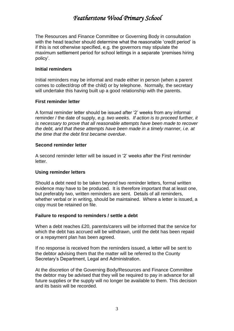The Resources and Finance Committee or Governing Body in consultation with the head teacher should determine what the reasonable 'credit period' is if this is not otherwise specified, e.g. the governors may stipulate the maximum settlement period for school lettings in a separate 'premises hiring policy'.

#### **Initial reminders**

Initial reminders may be informal and made either in person (when a parent comes to collect/drop off the child) or by telephone. Normally, the secretary will undertake this having built up a good relationship with the parents.

#### **First reminder letter**

A formal reminder letter should be issued after '2' weeks from any informal reminder / the date of supply, *e.g. two weeks*. *If action is to proceed further, it is necessary to prove that all reasonable attempts have been made to recover the debt, and that these attempts have been made in a timely manner, i.e. at the time that the debt first became overdue*.

#### **Second reminder letter**

A second reminder letter will be issued in '2' weeks after the First reminder letter.

#### **Using reminder letters**

Should a debt need to be taken beyond two reminder letters, formal written evidence may have to be produced. It is therefore important that at least one, but preferably two, written reminders are sent. Details of all reminders, whether verbal or in writing, should be maintained. Where a letter is issued, a copy must be retained on file.

#### **Failure to respond to reminders / settle a debt**

When a debt reaches £20, parents/carers will be informed that the service for which the debt has accrued will be withdrawn, until the debt has been repaid or a repayment plan has been agreed.

If no response is received from the reminders issued, a letter will be sent to the debtor advising them that the matter will be referred to the County Secretary's Department, Legal and Administration.

At the discretion of the Governing Body/Resources and Finance Committee the debtor may be advised that they will be required to pay in advance for all future supplies or the supply will no longer be available to them. This decision and its basis will be recorded.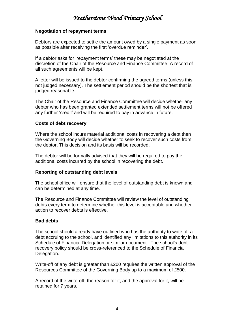#### **Negotiation of repayment terms**

Debtors are expected to settle the amount owed by a single payment as soon as possible after receiving the first 'overdue reminder'.

If a debtor asks for 'repayment terms' these may be negotiated at the discretion of the Chair of the Resource and Finance Committee. A record of all such agreements will be kept.

A letter will be issued to the debtor confirming the agreed terms (unless this not judged necessary). The settlement period should be the shortest that is judged reasonable.

The Chair of the Resource and Finance Committee will decide whether any debtor who has been granted extended settlement terms will not be offered any further 'credit' and will be required to pay in advance in future.

#### **Costs of debt recovery**

Where the school incurs material additional costs in recovering a debt then the Governing Body will decide whether to seek to recover such costs from the debtor. This decision and its basis will be recorded.

The debtor will be formally advised that they will be required to pay the additional costs incurred by the school in recovering the debt.

#### **Reporting of outstanding debt levels**

The school office will ensure that the level of outstanding debt is known and can be determined at any time.

The Resource and Finance Committee will review the level of outstanding debts every term to determine whether this level is acceptable and whether action to recover debts is effective.

#### **Bad debts**

The school should already have outlined who has the authority to write off a debt accruing to the school, and identified any limitations to this authority in its Schedule of Financial Delegation or similar document. The school's debt recovery policy should be cross-referenced to the Schedule of Financial Delegation.

Write-off of any debt is greater than £200 requires the written approval of the Resources Committee of the Governing Body up to a maximum of £500.

A record of the write-off, the reason for it, and the approval for it, will be retained for 7 years.